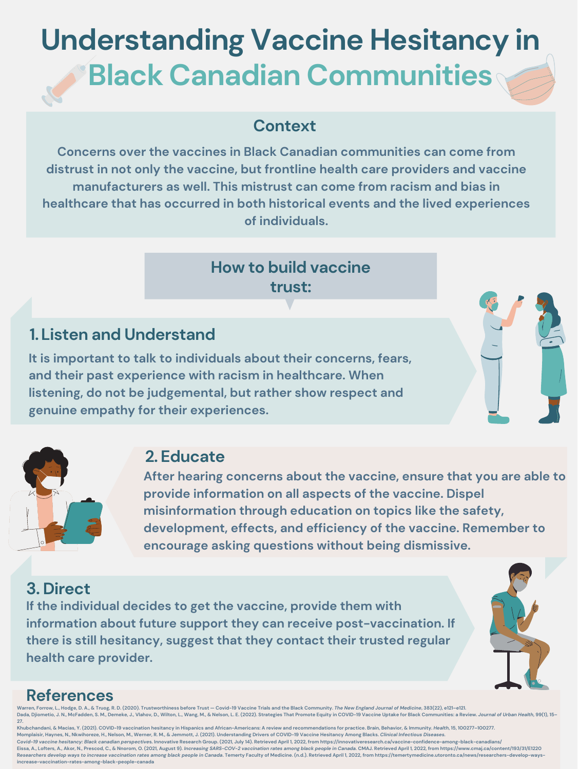### **Context**

## **Understanding Vaccine Hesitancy in Black Canadian Communities**

## **How to build vaccine trust:**

### **References**

**Concerns over the vaccines in Black Canadian communities can come from distrust in not only the vaccine, but frontline health care providers and vaccine manufacturers as well. This mistrust can come from racism and bias in healthcare that has occurred in both historical events and the lived experiences of individuals.**

**It is important to talk to individuals about their concerns, fears, and their past experience with racism in healthcare. When listening, do not be judgemental, but rather show respect and**



### **Listen and Understand 1.**



### **Educate 2.**

### **Direct 3.**

Warren, Forrow, L., Hodge, D. A., & Truog, R. D. (2020). Trustworthiness before Trust - Covid-19 Vaccine Trials and the Black Community. The New England Journal of Medicine, 383(22), e121-e121. Dada, Djiometio, J. N., McFadden, S. M., Demeke, J., Vlahov, D., Wilton, L., Wang, M., & Nelson, L. E. (2022). Strategies That Promote Equity in COVID-19 Vaccine Uptake for Black Communities: a Review. Journal of Urban Hea **27.**

**After hearing concerns about the vaccine, ensure that you are able to provide information on all aspects of the vaccine. Dispel misinformation through education on topics like the safety, development, effects, and efficiency of the vaccine. Remember to encourage asking questions without being dismissive.**

**If the individual decides to get the vaccine, provide them with information about future support they can receive post-vaccination. If there is still hesitancy, suggest that they contact their trusted regular health care provider.**



Khubchandani, & Macias, Y. (2021). COVID-19 vaccination hesitancy in Hispanics and African-Americans: A review and recommendations for practice. Brain, Behavior, & Immunity. Health, 15, 100277-100277. Momplaisir, Haynes, N., Nkwihoreze, H., Nelson, M., Werner, R. M., & Jemmott, J. (2021). Understanding Drivers of COVID-19 Vaccine Hesitancy Among Blacks. Clinical Infectious Diseases. Covid-19 vaccine hesitancy: Black canadian perspectives. Innovative Research Group. (2021, July 14). Retrieved April 1, 2022, from https://innovativeresearch.ca/vaccine-confidence-among-black-canadians/ Eissa, A., Lofters, A., Akor, N., Prescod, C., & Nnorom, O. (2021, August 9). Increasing SARS-COV-2 vaccination rates among black people in Canada. CMAJ. Retrieved April 1, 2022, from https://www.cmaj.ca/content/193/31/E12 Researchers develop ways to increase vaccination rates among black people in Canada. Temerty Faculty of Medicine. (n.d.). Retrieved April 1, 2022, from https://temertymedicine.utoronto.ca/news/researchers-develop-ways**increase-vaccination-rates-among-black-people-canada**